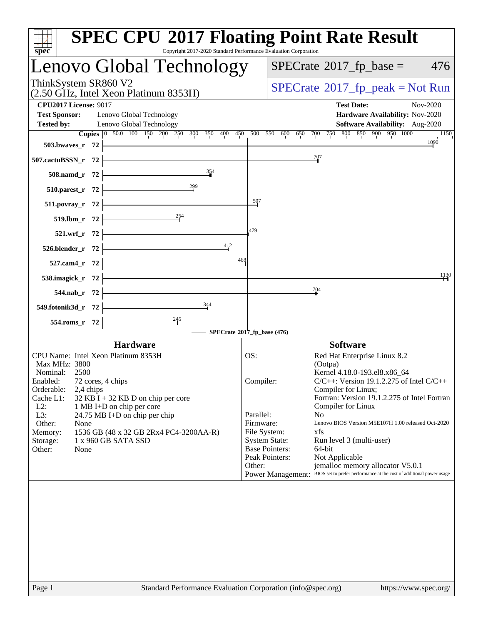| <b>SPEC CPU®2017 Floating Point Rate Result</b><br>Copyright 2017-2020 Standard Performance Evaluation Corporation<br>spec <sup>®</sup> |                                                                                                                                       |
|-----------------------------------------------------------------------------------------------------------------------------------------|---------------------------------------------------------------------------------------------------------------------------------------|
| Lenovo Global Technology                                                                                                                | $SPECrate^{\circ}2017$ _fp_base =<br>476                                                                                              |
| ThinkSystem SR860 V2<br>(2.50 GHz, Intel Xeon Platinum 8353H)                                                                           | $SPECrate^{\circ}2017$ _fp_peak = Not Run                                                                                             |
| <b>CPU2017 License: 9017</b><br><b>Test Sponsor:</b><br>Lenovo Global Technology                                                        | <b>Test Date:</b><br>Nov-2020<br>Hardware Availability: Nov-2020                                                                      |
| Lenovo Global Technology<br><b>Tested by:</b>                                                                                           | Software Availability: Aug-2020<br>Copies 0 50.0 100 150 200 250 300 350 400 450 500 550 600 650 700 750 800 850 900 950 1000<br>1150 |
| 503.bwaves_r $72$                                                                                                                       | 1090                                                                                                                                  |
| 507.cactuBSSN_r 72                                                                                                                      | 707                                                                                                                                   |
| 354<br>508.namd_r 72                                                                                                                    |                                                                                                                                       |
| $\begin{array}{c}\n 299 \\  \hline\n 1\n \end{array}$<br>510.parest_r 72                                                                |                                                                                                                                       |
| 511.povray_r 72                                                                                                                         | $\frac{507}{50}$                                                                                                                      |
| $\frac{254}{1}$<br>519.lbm_r 72                                                                                                         |                                                                                                                                       |
| 521.wrf_r 72                                                                                                                            | 479                                                                                                                                   |
| <u> 1980 - Johann Barbara, martxa a</u><br>412<br>$526.$ blender_r 72 $\vdash$                                                          |                                                                                                                                       |
| 468<br>527.cam4_r $72$ -                                                                                                                |                                                                                                                                       |
| 538.imagick_r $72$                                                                                                                      | 1130                                                                                                                                  |
| <u> 1989 - Johann Barn, mars ann an t-</u><br>544.nab_r 72                                                                              | $\frac{704}{4}$                                                                                                                       |
| 344<br>549.fotonik3d_r 72                                                                                                               |                                                                                                                                       |
| $\frac{245}{7}$<br>554.roms_r 72                                                                                                        | SPECrate®2017_fp_base (476)                                                                                                           |
| <b>Hardware</b>                                                                                                                         | <b>Software</b>                                                                                                                       |
| CPU Name: Intel Xeon Platinum 8353H                                                                                                     | Red Hat Enterprise Linux 8.2<br>OS:                                                                                                   |
| Max MHz: 3800                                                                                                                           | (Ootpa)                                                                                                                               |
| Nominal:<br>2500                                                                                                                        | Kernel 4.18.0-193.el8.x86_64                                                                                                          |
| Enabled:<br>72 cores, 4 chips<br>Orderable:<br>2,4 chips                                                                                | $C/C++$ : Version 19.1.2.275 of Intel $C/C++$<br>Compiler:<br>Compiler for Linux;                                                     |
| Cache L1:<br>32 KB I + 32 KB D on chip per core                                                                                         | Fortran: Version 19.1.2.275 of Intel Fortran                                                                                          |
| $L2$ :<br>1 MB I+D on chip per core                                                                                                     | Compiler for Linux                                                                                                                    |
| L3:<br>24.75 MB I+D on chip per chip<br>Other:<br>None                                                                                  | Parallel:<br>N <sub>o</sub><br>Firmware:<br>Lenovo BIOS Version M5E107H 1.00 released Oct-2020                                        |
| 1536 GB (48 x 32 GB 2Rx4 PC4-3200AA-R)<br>Memory:                                                                                       | File System:<br>xfs                                                                                                                   |
| 1 x 960 GB SATA SSD<br>Storage:                                                                                                         | <b>System State:</b><br>Run level 3 (multi-user)                                                                                      |
| Other:<br>None                                                                                                                          | <b>Base Pointers:</b><br>64-bit<br>Peak Pointers:<br>Not Applicable                                                                   |
|                                                                                                                                         | Other:<br>jemalloc memory allocator V5.0.1                                                                                            |
|                                                                                                                                         | Power Management: BIOS set to prefer performance at the cost of additional power usage                                                |
|                                                                                                                                         |                                                                                                                                       |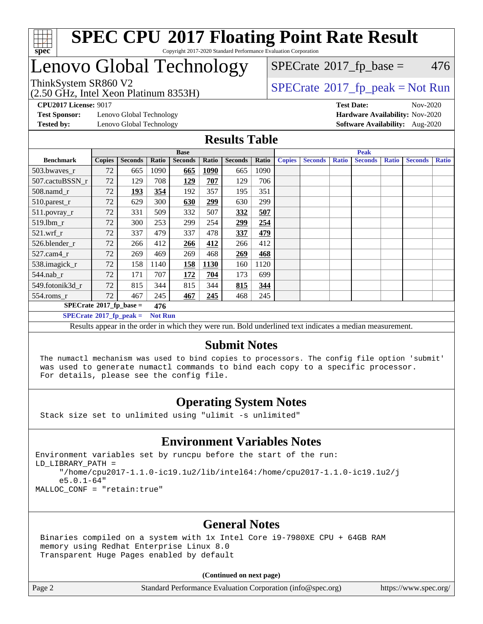

# Lenovo Global Technology

(2.50 GHz, Intel Xeon Platinum 8353H)

 $SPECTate$ <sup>®</sup>[2017\\_fp\\_base =](http://www.spec.org/auto/cpu2017/Docs/result-fields.html#SPECrate2017fpbase) 476

### ThinkSystem SR860 V2<br>  $\begin{array}{c} \text{750 CI} \\ \text{1750 CI} \\ \text{2017\_fp\_peak} = \text{Not Run} \end{array}$

**[CPU2017 License:](http://www.spec.org/auto/cpu2017/Docs/result-fields.html#CPU2017License)** 9017 **[Test Date:](http://www.spec.org/auto/cpu2017/Docs/result-fields.html#TestDate)** Nov-2020

**[Test Sponsor:](http://www.spec.org/auto/cpu2017/Docs/result-fields.html#TestSponsor)** Lenovo Global Technology **[Hardware Availability:](http://www.spec.org/auto/cpu2017/Docs/result-fields.html#HardwareAvailability)** Nov-2020

**[Tested by:](http://www.spec.org/auto/cpu2017/Docs/result-fields.html#Testedby)** Lenovo Global Technology **[Software Availability:](http://www.spec.org/auto/cpu2017/Docs/result-fields.html#SoftwareAvailability)** Aug-2020

#### **[Results Table](http://www.spec.org/auto/cpu2017/Docs/result-fields.html#ResultsTable)**

|                                                    | <b>Base</b>   |                |       |                | <b>Peak</b> |                |       |               |                |              |                |              |                |              |
|----------------------------------------------------|---------------|----------------|-------|----------------|-------------|----------------|-------|---------------|----------------|--------------|----------------|--------------|----------------|--------------|
| <b>Benchmark</b>                                   | <b>Copies</b> | <b>Seconds</b> | Ratio | <b>Seconds</b> | Ratio       | <b>Seconds</b> | Ratio | <b>Copies</b> | <b>Seconds</b> | <b>Ratio</b> | <b>Seconds</b> | <b>Ratio</b> | <b>Seconds</b> | <b>Ratio</b> |
| 503.bwaves_r                                       | 72            | 665            | 1090  | 665            | <b>1090</b> | 665            | 1090  |               |                |              |                |              |                |              |
| 507.cactuBSSN r                                    | 72            | 129            | 708   | <u>129</u>     | 707         | 129            | 706   |               |                |              |                |              |                |              |
| $508$ .namd_r                                      | 72            | 193            | 354   | 192            | 357         | 195            | 351   |               |                |              |                |              |                |              |
| 510.parest_r                                       | 72            | 629            | 300   | 630            | 299         | 630            | 299   |               |                |              |                |              |                |              |
| 511.povray_r                                       | 72            | 331            | 509   | 332            | 507         | 332            | 507   |               |                |              |                |              |                |              |
| 519.lbm r                                          | 72            | 300            | 253   | 299            | 254         | 299            | 254   |               |                |              |                |              |                |              |
| $521$ .wrf r                                       | 72            | 337            | 479   | 337            | 478         | 337            | 479   |               |                |              |                |              |                |              |
| 526.blender r                                      | 72            | 266            | 412   | 266            | 412         | 266            | 412   |               |                |              |                |              |                |              |
| $527$ .cam $4r$                                    | 72            | 269            | 469   | 269            | 468         | 269            | 468   |               |                |              |                |              |                |              |
| 538.imagick_r                                      | 72            | 158            | 1140  | 158            | <b>1130</b> | 160            | 1120  |               |                |              |                |              |                |              |
| $544$ .nab_r                                       | 72            | 171            | 707   | 172            | 704         | 173            | 699   |               |                |              |                |              |                |              |
| 549.fotonik3d r                                    | 72            | 815            | 344   | 815            | 344         | 815            | 344   |               |                |              |                |              |                |              |
| $554$ .roms_r                                      | 72            | 467            | 245   | 467            | 245         | 468            | 245   |               |                |              |                |              |                |              |
| $SPECrate*2017_fp\_base =$<br>476                  |               |                |       |                |             |                |       |               |                |              |                |              |                |              |
| $SPECrate^{\circ}2017$ fp peak =<br><b>Not Run</b> |               |                |       |                |             |                |       |               |                |              |                |              |                |              |

Results appear in the [order in which they were run](http://www.spec.org/auto/cpu2017/Docs/result-fields.html#RunOrder). Bold underlined text [indicates a median measurement.](http://www.spec.org/auto/cpu2017/Docs/result-fields.html#Median)

#### **[Submit Notes](http://www.spec.org/auto/cpu2017/Docs/result-fields.html#SubmitNotes)**

 The numactl mechanism was used to bind copies to processors. The config file option 'submit' was used to generate numactl commands to bind each copy to a specific processor. For details, please see the config file.

### **[Operating System Notes](http://www.spec.org/auto/cpu2017/Docs/result-fields.html#OperatingSystemNotes)**

Stack size set to unlimited using "ulimit -s unlimited"

#### **[Environment Variables Notes](http://www.spec.org/auto/cpu2017/Docs/result-fields.html#EnvironmentVariablesNotes)**

Environment variables set by runcpu before the start of the run: LD\_LIBRARY\_PATH = "/home/cpu2017-1.1.0-ic19.1u2/lib/intel64:/home/cpu2017-1.1.0-ic19.1u2/j e5.0.1-64" MALLOC\_CONF = "retain:true"

#### **[General Notes](http://www.spec.org/auto/cpu2017/Docs/result-fields.html#GeneralNotes)**

 Binaries compiled on a system with 1x Intel Core i9-7980XE CPU + 64GB RAM memory using Redhat Enterprise Linux 8.0 Transparent Huge Pages enabled by default

#### **(Continued on next page)**

Page 2 Standard Performance Evaluation Corporation [\(info@spec.org\)](mailto:info@spec.org) <https://www.spec.org/>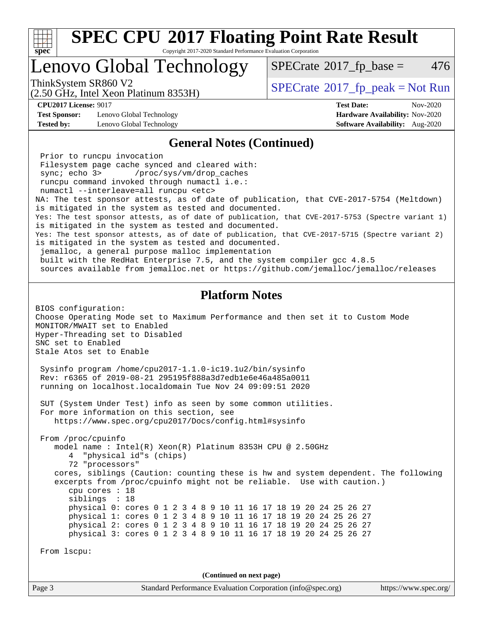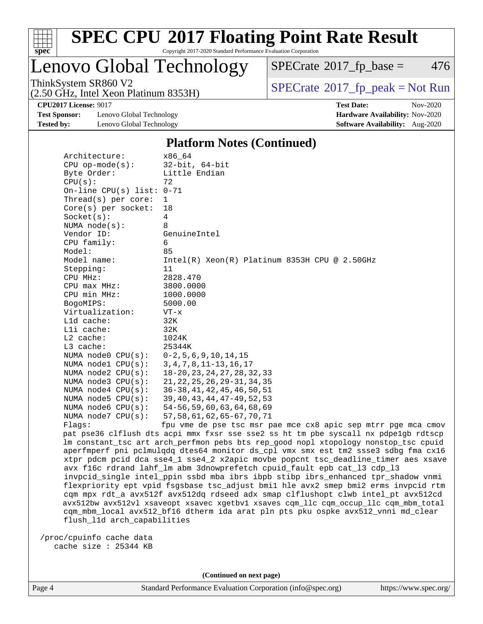

## Lenovo Global Technology

(2.50 GHz, Intel Xeon Platinum 8353H)

 $SPECTate$ <sup>®</sup>[2017\\_fp\\_base =](http://www.spec.org/auto/cpu2017/Docs/result-fields.html#SPECrate2017fpbase) 476

ThinkSystem SR860 V2<br>  $\begin{array}{c}\n\text{SPECrate} \textcircled{2017\_fp\_peak} = \text{Not Run} \\
\text{SPECrate} \textcircled{2017\_fp\_peak} = \text{Not Run} \\
\end{array}$  $\begin{array}{c}\n\text{SPECrate} \textcircled{2017\_fp\_peak} = \text{Not Run} \\
\text{SPECrate} \textcircled{2017\_fp\_peak} = \text{Not Run} \\
\end{array}$  $\begin{array}{c}\n\text{SPECrate} \textcircled{2017\_fp\_peak} = \text{Not Run} \\
\text{SPECrate} \textcircled{2017\_fp\_peak} = \text{Not Run} \\
\end{array}$ 

**[Test Sponsor:](http://www.spec.org/auto/cpu2017/Docs/result-fields.html#TestSponsor)** Lenovo Global Technology **[Hardware Availability:](http://www.spec.org/auto/cpu2017/Docs/result-fields.html#HardwareAvailability)** Nov-2020 **[Tested by:](http://www.spec.org/auto/cpu2017/Docs/result-fields.html#Testedby)** Lenovo Global Technology **[Software Availability:](http://www.spec.org/auto/cpu2017/Docs/result-fields.html#SoftwareAvailability)** Aug-2020

**[CPU2017 License:](http://www.spec.org/auto/cpu2017/Docs/result-fields.html#CPU2017License)** 9017 **[Test Date:](http://www.spec.org/auto/cpu2017/Docs/result-fields.html#TestDate)** Nov-2020

#### **[Platform Notes \(Continued\)](http://www.spec.org/auto/cpu2017/Docs/result-fields.html#PlatformNotes)**

| Architecture:               | x86 64                                                                              |
|-----------------------------|-------------------------------------------------------------------------------------|
| $CPU$ op-mode( $s$ ):       | $32$ -bit, $64$ -bit                                                                |
| Byte Order:                 | Little Endian                                                                       |
| CPU(s):                     | 72                                                                                  |
| On-line CPU(s) list: $0-71$ |                                                                                     |
| Thread( $s$ ) per core:     | $\mathbf{1}$                                                                        |
| $Core(s)$ per socket:       | 18                                                                                  |
| Socket(s):                  | 4                                                                                   |
| NUMA $node(s)$ :            | 8                                                                                   |
| Vendor ID:                  | GenuineIntel                                                                        |
| CPU family:                 | 6                                                                                   |
| Model:                      | 85                                                                                  |
| Model name:                 | $Intel(R)$ Xeon(R) Platinum 8353H CPU @ 2.50GHz                                     |
| Stepping:                   | 11                                                                                  |
| CPU MHz:                    | 2828.470                                                                            |
| CPU max MHz:                | 3800.0000                                                                           |
| CPU min MHz:                | 1000.0000                                                                           |
| BogoMIPS:                   | 5000.00                                                                             |
| Virtualization:             | $VT - x$                                                                            |
| $L1d$ cache:                | 32K                                                                                 |
| Lli cache:                  | 32K                                                                                 |
| L2 cache:                   | 1024K                                                                               |
| L3 cache:                   | 25344K                                                                              |
| NUMA node0 CPU(s):          | $0-2, 5, 6, 9, 10, 14, 15$                                                          |
| NUMA nodel CPU(s):          | $3, 4, 7, 8, 11 - 13, 16, 17$                                                       |
| NUMA $node2$ $CPU(s):$      | 18-20, 23, 24, 27, 28, 32, 33                                                       |
| NUMA node3 CPU(s):          | 21, 22, 25, 26, 29-31, 34, 35                                                       |
| NUMA $node4$ CPU $(s)$ :    | 36-38, 41, 42, 45, 46, 50, 51                                                       |
| NUMA node5 $CPU(s):$        | 39, 40, 43, 44, 47-49, 52, 53                                                       |
| NUMA node6 CPU(s):          | 54-56, 59, 60, 63, 64, 68, 69                                                       |
| NUMA $node7$ CPU $(s)$ :    | 57, 58, 61, 62, 65-67, 70, 71                                                       |
| Flags:                      | fpu vme de pse tsc msr pae mce cx8 apic sep mtrr pge mca cmov                       |
|                             | pat pse36 clflush dts acpi mmx fxsr sse sse2 ss ht tm pbe syscall nx pdpelgb rdtscp |
|                             | lm constant_tsc art arch_perfmon pebs bts rep_good nopl xtopology nonstop_tsc cpuid |
|                             | aperfmperf pni pclmulgdg dtes64 monitor ds_cpl vmx smx est tm2 ssse3 sdbg fma cx16  |
|                             | xtpr pdcm pcid dca sse4_1 sse4_2 x2apic movbe popcnt tsc_deadline_timer aes xsave   |

 avx f16c rdrand lahf\_lm abm 3dnowprefetch cpuid\_fault epb cat\_l3 cdp\_l3 invpcid\_single intel\_ppin ssbd mba ibrs ibpb stibp ibrs\_enhanced tpr\_shadow vnmi flexpriority ept vpid fsgsbase tsc\_adjust bmi1 hle avx2 smep bmi2 erms invpcid rtm cqm mpx rdt\_a avx512f avx512dq rdseed adx smap clflushopt clwb intel\_pt avx512cd avx512bw avx512vl xsaveopt xsavec xgetbv1 xsaves cqm\_llc cqm\_occup\_llc cqm\_mbm\_total cqm\_mbm\_local avx512\_bf16 dtherm ida arat pln pts pku ospke avx512\_vnni md\_clear flush\_l1d arch\_capabilities

 /proc/cpuinfo cache data cache size : 25344 KB

**(Continued on next page)**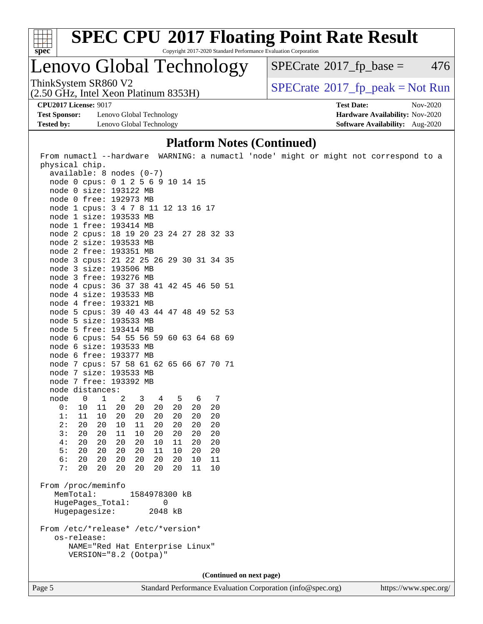

# **[SPEC CPU](http://www.spec.org/auto/cpu2017/Docs/result-fields.html#SPECCPU2017FloatingPointRateResult)[2017 Floating Point Rate Result](http://www.spec.org/auto/cpu2017/Docs/result-fields.html#SPECCPU2017FloatingPointRateResult)**

Copyright 2017-2020 Standard Performance Evaluation Corporation

### Lenovo Global Technology

 $SPECTate$ <sup>®</sup>[2017\\_fp\\_base =](http://www.spec.org/auto/cpu2017/Docs/result-fields.html#SPECrate2017fpbase) 476

(2.50 GHz, Intel Xeon Platinum 8353H)

ThinkSystem SR860 V2<br>(2.50 GHz, Intel Xeon Platinum 8353H)  $\vert$  [SPECrate](http://www.spec.org/auto/cpu2017/Docs/result-fields.html#SPECrate2017fppeak)®[2017\\_fp\\_peak = N](http://www.spec.org/auto/cpu2017/Docs/result-fields.html#SPECrate2017fppeak)ot Run

**[Test Sponsor:](http://www.spec.org/auto/cpu2017/Docs/result-fields.html#TestSponsor)** Lenovo Global Technology **[Hardware Availability:](http://www.spec.org/auto/cpu2017/Docs/result-fields.html#HardwareAvailability)** Nov-2020 **[Tested by:](http://www.spec.org/auto/cpu2017/Docs/result-fields.html#Testedby)** Lenovo Global Technology **[Software Availability:](http://www.spec.org/auto/cpu2017/Docs/result-fields.html#SoftwareAvailability)** Aug-2020

**[CPU2017 License:](http://www.spec.org/auto/cpu2017/Docs/result-fields.html#CPU2017License)** 9017 **[Test Date:](http://www.spec.org/auto/cpu2017/Docs/result-fields.html#TestDate)** Nov-2020

#### **[Platform Notes \(Continued\)](http://www.spec.org/auto/cpu2017/Docs/result-fields.html#PlatformNotes)**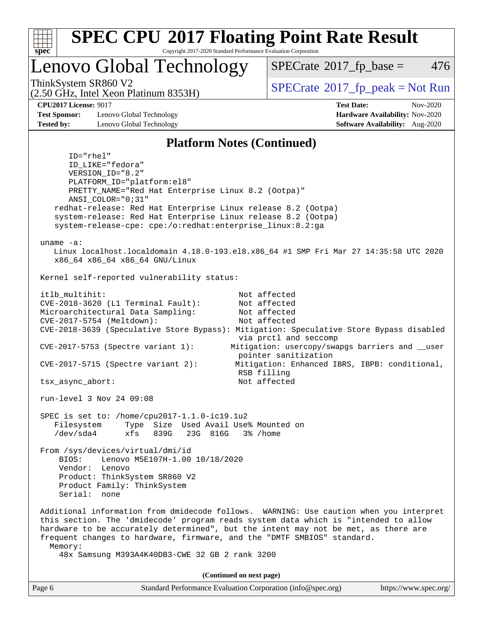

### Lenovo Global Technology

 $SPECTate$ <sup>®</sup>[2017\\_fp\\_base =](http://www.spec.org/auto/cpu2017/Docs/result-fields.html#SPECrate2017fpbase) 476

(2.50 GHz, Intel Xeon Platinum 8353H)

ThinkSystem SR860 V2<br>  $\begin{array}{c} \text{SPECTI}_{\text{S}} \text{SOR} \end{array}$  [SPECrate](http://www.spec.org/auto/cpu2017/Docs/result-fields.html#SPECrate2017fppeak)®[2017\\_fp\\_peak = N](http://www.spec.org/auto/cpu2017/Docs/result-fields.html#SPECrate2017fppeak)ot Run

**[Test Sponsor:](http://www.spec.org/auto/cpu2017/Docs/result-fields.html#TestSponsor)** Lenovo Global Technology **[Hardware Availability:](http://www.spec.org/auto/cpu2017/Docs/result-fields.html#HardwareAvailability)** Nov-2020 **[Tested by:](http://www.spec.org/auto/cpu2017/Docs/result-fields.html#Testedby)** Lenovo Global Technology **[Software Availability:](http://www.spec.org/auto/cpu2017/Docs/result-fields.html#SoftwareAvailability)** Aug-2020

**[CPU2017 License:](http://www.spec.org/auto/cpu2017/Docs/result-fields.html#CPU2017License)** 9017 **[Test Date:](http://www.spec.org/auto/cpu2017/Docs/result-fields.html#TestDate)** Nov-2020

#### **[Platform Notes \(Continued\)](http://www.spec.org/auto/cpu2017/Docs/result-fields.html#PlatformNotes)**

 ID="rhel" ID\_LIKE="fedora" VERSION\_ID="8.2" PLATFORM\_ID="platform:el8" PRETTY\_NAME="Red Hat Enterprise Linux 8.2 (Ootpa)" ANSI\_COLOR="0;31" redhat-release: Red Hat Enterprise Linux release 8.2 (Ootpa) system-release: Red Hat Enterprise Linux release 8.2 (Ootpa) system-release-cpe: cpe:/o:redhat:enterprise\_linux:8.2:ga uname -a: Linux localhost.localdomain 4.18.0-193.el8.x86\_64 #1 SMP Fri Mar 27 14:35:58 UTC 2020 x86\_64 x86\_64 x86\_64 GNU/Linux Kernel self-reported vulnerability status: itlb\_multihit: Not affected CVE-2018-3620 (L1 Terminal Fault): Not affected Microarchitectural Data Sampling: Not affected CVE-2017-5754 (Meltdown): Not affected CVE-2018-3639 (Speculative Store Bypass): Mitigation: Speculative Store Bypass disabled via prctl and seccomp CVE-2017-5753 (Spectre variant 1): Mitigation: usercopy/swapgs barriers and \_\_user pointer sanitization CVE-2017-5715 (Spectre variant 2): Mitigation: Enhanced IBRS, IBPB: conditional, RSB filling tsx\_async\_abort: Not affected run-level 3 Nov 24 09:08 SPEC is set to: /home/cpu2017-1.1.0-ic19.1u2 Filesystem Type Size Used Avail Use% Mounted on /dev/sda4 xfs 839G 23G 816G 3% /home From /sys/devices/virtual/dmi/id BIOS: Lenovo M5E107H-1.00 10/18/2020 Vendor: Lenovo Product: ThinkSystem SR860 V2 Product Family: ThinkSystem Serial: none Additional information from dmidecode follows. WARNING: Use caution when you interpret this section. The 'dmidecode' program reads system data which is "intended to allow hardware to be accurately determined", but the intent may not be met, as there are frequent changes to hardware, firmware, and the "DMTF SMBIOS" standard. Memory: 48x Samsung M393A4K40DB3-CWE 32 GB 2 rank 3200 **(Continued on next page)**

| Page 6 | Standard Performance Evaluation Corporation (info@spec.org) | https://www.spec.org/ |
|--------|-------------------------------------------------------------|-----------------------|
|--------|-------------------------------------------------------------|-----------------------|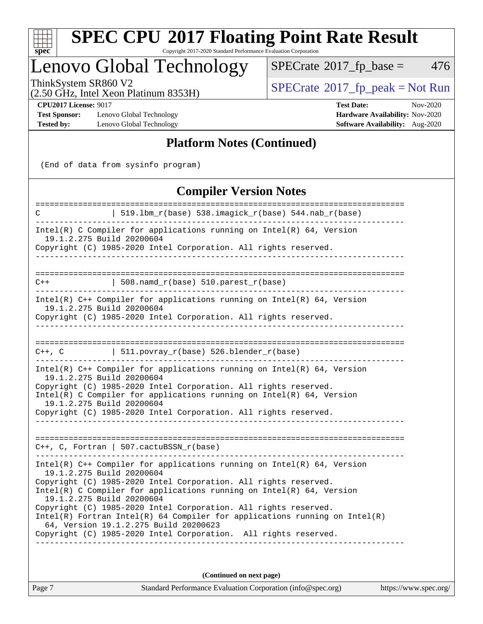

# **[SPEC CPU](http://www.spec.org/auto/cpu2017/Docs/result-fields.html#SPECCPU2017FloatingPointRateResult)[2017 Floating Point Rate Result](http://www.spec.org/auto/cpu2017/Docs/result-fields.html#SPECCPU2017FloatingPointRateResult)**

Copyright 2017-2020 Standard Performance Evaluation Corporation

## Lenovo Global Technology

 $SPECTate@2017_fp\_base = 476$ 

(2.50 GHz, Intel Xeon Platinum 8353H)

ThinkSystem SR860 V2<br>(2.50 GHz, Intel Xeon Platinum 8353H) [SPECrate](http://www.spec.org/auto/cpu2017/Docs/result-fields.html#SPECrate2017fppeak)®[2017\\_fp\\_peak = N](http://www.spec.org/auto/cpu2017/Docs/result-fields.html#SPECrate2017fppeak)ot Run

**[Test Sponsor:](http://www.spec.org/auto/cpu2017/Docs/result-fields.html#TestSponsor)** Lenovo Global Technology **[Hardware Availability:](http://www.spec.org/auto/cpu2017/Docs/result-fields.html#HardwareAvailability)** Nov-2020 **[Tested by:](http://www.spec.org/auto/cpu2017/Docs/result-fields.html#Testedby)** Lenovo Global Technology **[Software Availability:](http://www.spec.org/auto/cpu2017/Docs/result-fields.html#SoftwareAvailability)** Aug-2020

**[CPU2017 License:](http://www.spec.org/auto/cpu2017/Docs/result-fields.html#CPU2017License)** 9017 **[Test Date:](http://www.spec.org/auto/cpu2017/Docs/result-fields.html#TestDate)** Nov-2020

### **[Platform Notes \(Continued\)](http://www.spec.org/auto/cpu2017/Docs/result-fields.html#PlatformNotes)**

(End of data from sysinfo program)

### **[Compiler Version Notes](http://www.spec.org/auto/cpu2017/Docs/result-fields.html#CompilerVersionNotes)**

| C                                                      | 519.1bm_r(base) 538.imagick_r(base) 544.nab_r(base)                                                                                                                                                                                                                                                                                                                                                                                                                                   |
|--------------------------------------------------------|---------------------------------------------------------------------------------------------------------------------------------------------------------------------------------------------------------------------------------------------------------------------------------------------------------------------------------------------------------------------------------------------------------------------------------------------------------------------------------------|
| 19.1.2.275 Build 20200604                              | Intel(R) C Compiler for applications running on $Intel(R) 64$ , Version<br>Copyright (C) 1985-2020 Intel Corporation. All rights reserved.                                                                                                                                                                                                                                                                                                                                            |
|                                                        |                                                                                                                                                                                                                                                                                                                                                                                                                                                                                       |
| $C++$                                                  | $  508.namd_r(base) 510.parest_r(base)$                                                                                                                                                                                                                                                                                                                                                                                                                                               |
| 19.1.2.275 Build 20200604                              | Intel(R) $C++$ Compiler for applications running on Intel(R) 64, Version<br>Copyright (C) 1985-2020 Intel Corporation. All rights reserved.                                                                                                                                                                                                                                                                                                                                           |
|                                                        |                                                                                                                                                                                                                                                                                                                                                                                                                                                                                       |
| C++, C                                                 | 511.povray_r(base) 526.blender_r(base)                                                                                                                                                                                                                                                                                                                                                                                                                                                |
| 19.1.2.275 Build 20200604<br>19.1.2.275 Build 20200604 | Intel(R) $C++$ Compiler for applications running on Intel(R) 64, Version<br>Copyright (C) 1985-2020 Intel Corporation. All rights reserved.<br>Intel(R) C Compiler for applications running on $Intel(R) 64$ , Version<br>Copyright (C) 1985-2020 Intel Corporation. All rights reserved.                                                                                                                                                                                             |
|                                                        | $C++$ , C, Fortran   507.cactuBSSN_r(base)                                                                                                                                                                                                                                                                                                                                                                                                                                            |
| 19.1.2.275 Build 20200604<br>19.1.2.275 Build 20200604 | Intel(R) $C++$ Compiler for applications running on Intel(R) 64, Version<br>Copyright (C) 1985-2020 Intel Corporation. All rights reserved.<br>Intel(R) C Compiler for applications running on $Intel(R) 64$ , Version<br>Copyright (C) 1985-2020 Intel Corporation. All rights reserved.<br>$Intel(R)$ Fortran Intel(R) 64 Compiler for applications running on Intel(R)<br>64, Version 19.1.2.275 Build 20200623<br>Copyright (C) 1985-2020 Intel Corporation. All rights reserved. |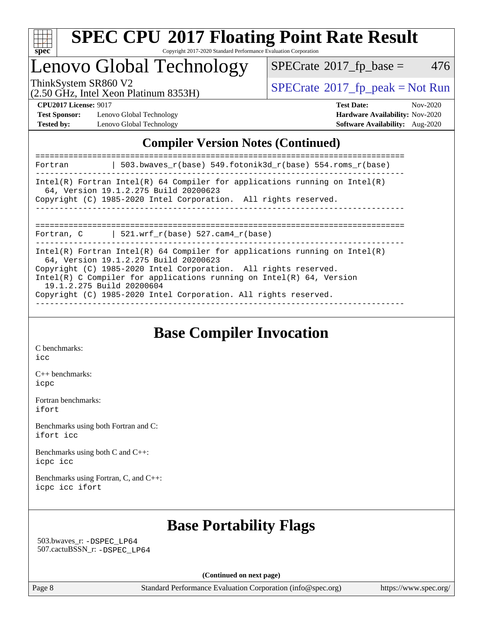

# Lenovo Global Technology

 $SPECTate@2017_fp\_base = 476$ 

(2.50 GHz, Intel Xeon Platinum 8353H)

ThinkSystem SR860 V2<br>  $\begin{array}{c}\n\text{SPECrate} \textcirc 2017\_fp\_peak = Not Run \\
\text{SPECrate} \textcirc 2017\_fp\_peak = Not Run\n\end{array}$  $\begin{array}{c}\n\text{SPECrate} \textcirc 2017\_fp\_peak = Not Run \\
\text{SPECrate} \textcirc 2017\_fp\_peak = Not Run\n\end{array}$  $\begin{array}{c}\n\text{SPECrate} \textcirc 2017\_fp\_peak = Not Run \\
\text{SPECrate} \textcirc 2017\_fp\_peak = Not Run\n\end{array}$ 

**[Test Sponsor:](http://www.spec.org/auto/cpu2017/Docs/result-fields.html#TestSponsor)** Lenovo Global Technology **[Hardware Availability:](http://www.spec.org/auto/cpu2017/Docs/result-fields.html#HardwareAvailability)** Nov-2020 **[Tested by:](http://www.spec.org/auto/cpu2017/Docs/result-fields.html#Testedby)** Lenovo Global Technology **[Software Availability:](http://www.spec.org/auto/cpu2017/Docs/result-fields.html#SoftwareAvailability)** Aug-2020

**[CPU2017 License:](http://www.spec.org/auto/cpu2017/Docs/result-fields.html#CPU2017License)** 9017 **[Test Date:](http://www.spec.org/auto/cpu2017/Docs/result-fields.html#TestDate)** Nov-2020

### **[Compiler Version Notes \(Continued\)](http://www.spec.org/auto/cpu2017/Docs/result-fields.html#CompilerVersionNotes)**

| Fortran                   | 503.bwaves_r(base) 549.fotonik3d_r(base) 554.roms_r(base)                                                                                                                                                                                                                                                                             |
|---------------------------|---------------------------------------------------------------------------------------------------------------------------------------------------------------------------------------------------------------------------------------------------------------------------------------------------------------------------------------|
|                           | Intel(R) Fortran Intel(R) 64 Compiler for applications running on Intel(R)<br>64, Version 19.1.2.275 Build 20200623<br>Copyright (C) 1985-2020 Intel Corporation. All rights reserved.                                                                                                                                                |
| Fortran, C                | 521.wrf $r(base)$ 527.cam4 $r(base)$                                                                                                                                                                                                                                                                                                  |
| 19.1.2.275 Build 20200604 | Intel(R) Fortran Intel(R) 64 Compiler for applications running on Intel(R)<br>64, Version 19.1.2.275 Build 20200623<br>Copyright (C) 1985-2020 Intel Corporation. All rights reserved.<br>$Intel(R)$ C Compiler for applications running on $Intel(R)$ 64, Version<br>Copyright (C) 1985-2020 Intel Corporation. All rights reserved. |

## **[Base Compiler Invocation](http://www.spec.org/auto/cpu2017/Docs/result-fields.html#BaseCompilerInvocation)**

[C benchmarks](http://www.spec.org/auto/cpu2017/Docs/result-fields.html#Cbenchmarks): [icc](http://www.spec.org/cpu2017/results/res2020q4/cpu2017-20201207-24531.flags.html#user_CCbase_intel_icc_66fc1ee009f7361af1fbd72ca7dcefbb700085f36577c54f309893dd4ec40d12360134090235512931783d35fd58c0460139e722d5067c5574d8eaf2b3e37e92)

[C++ benchmarks:](http://www.spec.org/auto/cpu2017/Docs/result-fields.html#CXXbenchmarks) [icpc](http://www.spec.org/cpu2017/results/res2020q4/cpu2017-20201207-24531.flags.html#user_CXXbase_intel_icpc_c510b6838c7f56d33e37e94d029a35b4a7bccf4766a728ee175e80a419847e808290a9b78be685c44ab727ea267ec2f070ec5dc83b407c0218cded6866a35d07)

[Fortran benchmarks](http://www.spec.org/auto/cpu2017/Docs/result-fields.html#Fortranbenchmarks): [ifort](http://www.spec.org/cpu2017/results/res2020q4/cpu2017-20201207-24531.flags.html#user_FCbase_intel_ifort_8111460550e3ca792625aed983ce982f94888b8b503583aa7ba2b8303487b4d8a21a13e7191a45c5fd58ff318f48f9492884d4413fa793fd88dd292cad7027ca)

[Benchmarks using both Fortran and C](http://www.spec.org/auto/cpu2017/Docs/result-fields.html#BenchmarksusingbothFortranandC): [ifort](http://www.spec.org/cpu2017/results/res2020q4/cpu2017-20201207-24531.flags.html#user_CC_FCbase_intel_ifort_8111460550e3ca792625aed983ce982f94888b8b503583aa7ba2b8303487b4d8a21a13e7191a45c5fd58ff318f48f9492884d4413fa793fd88dd292cad7027ca) [icc](http://www.spec.org/cpu2017/results/res2020q4/cpu2017-20201207-24531.flags.html#user_CC_FCbase_intel_icc_66fc1ee009f7361af1fbd72ca7dcefbb700085f36577c54f309893dd4ec40d12360134090235512931783d35fd58c0460139e722d5067c5574d8eaf2b3e37e92)

[Benchmarks using both C and C++](http://www.spec.org/auto/cpu2017/Docs/result-fields.html#BenchmarksusingbothCandCXX): [icpc](http://www.spec.org/cpu2017/results/res2020q4/cpu2017-20201207-24531.flags.html#user_CC_CXXbase_intel_icpc_c510b6838c7f56d33e37e94d029a35b4a7bccf4766a728ee175e80a419847e808290a9b78be685c44ab727ea267ec2f070ec5dc83b407c0218cded6866a35d07) [icc](http://www.spec.org/cpu2017/results/res2020q4/cpu2017-20201207-24531.flags.html#user_CC_CXXbase_intel_icc_66fc1ee009f7361af1fbd72ca7dcefbb700085f36577c54f309893dd4ec40d12360134090235512931783d35fd58c0460139e722d5067c5574d8eaf2b3e37e92)

[Benchmarks using Fortran, C, and C++:](http://www.spec.org/auto/cpu2017/Docs/result-fields.html#BenchmarksusingFortranCandCXX) [icpc](http://www.spec.org/cpu2017/results/res2020q4/cpu2017-20201207-24531.flags.html#user_CC_CXX_FCbase_intel_icpc_c510b6838c7f56d33e37e94d029a35b4a7bccf4766a728ee175e80a419847e808290a9b78be685c44ab727ea267ec2f070ec5dc83b407c0218cded6866a35d07) [icc](http://www.spec.org/cpu2017/results/res2020q4/cpu2017-20201207-24531.flags.html#user_CC_CXX_FCbase_intel_icc_66fc1ee009f7361af1fbd72ca7dcefbb700085f36577c54f309893dd4ec40d12360134090235512931783d35fd58c0460139e722d5067c5574d8eaf2b3e37e92) [ifort](http://www.spec.org/cpu2017/results/res2020q4/cpu2017-20201207-24531.flags.html#user_CC_CXX_FCbase_intel_ifort_8111460550e3ca792625aed983ce982f94888b8b503583aa7ba2b8303487b4d8a21a13e7191a45c5fd58ff318f48f9492884d4413fa793fd88dd292cad7027ca)

### **[Base Portability Flags](http://www.spec.org/auto/cpu2017/Docs/result-fields.html#BasePortabilityFlags)**

 503.bwaves\_r: [-DSPEC\\_LP64](http://www.spec.org/cpu2017/results/res2020q4/cpu2017-20201207-24531.flags.html#suite_basePORTABILITY503_bwaves_r_DSPEC_LP64) 507.cactuBSSN\_r: [-DSPEC\\_LP64](http://www.spec.org/cpu2017/results/res2020q4/cpu2017-20201207-24531.flags.html#suite_basePORTABILITY507_cactuBSSN_r_DSPEC_LP64)

**(Continued on next page)**

Page 8 Standard Performance Evaluation Corporation [\(info@spec.org\)](mailto:info@spec.org) <https://www.spec.org/>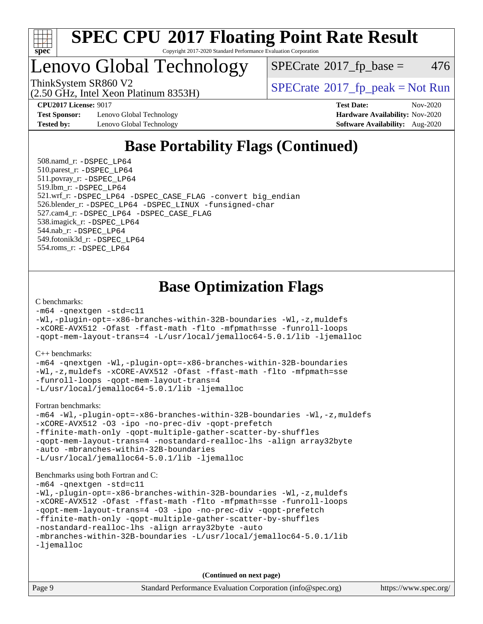

## Lenovo Global Technology

 $SPECTate$ <sup>®</sup>[2017\\_fp\\_base =](http://www.spec.org/auto/cpu2017/Docs/result-fields.html#SPECrate2017fpbase) 476

(2.50 GHz, Intel Xeon Platinum 8353H) ThinkSystem SR860 V2<br>  $\begin{array}{c} \text{SPECTI}_{\text{S}} \text{SOR} \\ \text{SPECTI}_{\text{S}} \text{SOR} \\ \text{SOR} \end{array}$ 

**[CPU2017 License:](http://www.spec.org/auto/cpu2017/Docs/result-fields.html#CPU2017License)** 9017 **[Test Date:](http://www.spec.org/auto/cpu2017/Docs/result-fields.html#TestDate)** Nov-2020

**[Test Sponsor:](http://www.spec.org/auto/cpu2017/Docs/result-fields.html#TestSponsor)** Lenovo Global Technology **[Hardware Availability:](http://www.spec.org/auto/cpu2017/Docs/result-fields.html#HardwareAvailability)** Nov-2020 **[Tested by:](http://www.spec.org/auto/cpu2017/Docs/result-fields.html#Testedby)** Lenovo Global Technology **[Software Availability:](http://www.spec.org/auto/cpu2017/Docs/result-fields.html#SoftwareAvailability)** Aug-2020

## **[Base Portability Flags \(Continued\)](http://www.spec.org/auto/cpu2017/Docs/result-fields.html#BasePortabilityFlags)**

 508.namd\_r: [-DSPEC\\_LP64](http://www.spec.org/cpu2017/results/res2020q4/cpu2017-20201207-24531.flags.html#suite_basePORTABILITY508_namd_r_DSPEC_LP64) 510.parest\_r: [-DSPEC\\_LP64](http://www.spec.org/cpu2017/results/res2020q4/cpu2017-20201207-24531.flags.html#suite_basePORTABILITY510_parest_r_DSPEC_LP64) 511.povray\_r: [-DSPEC\\_LP64](http://www.spec.org/cpu2017/results/res2020q4/cpu2017-20201207-24531.flags.html#suite_basePORTABILITY511_povray_r_DSPEC_LP64) 519.lbm\_r: [-DSPEC\\_LP64](http://www.spec.org/cpu2017/results/res2020q4/cpu2017-20201207-24531.flags.html#suite_basePORTABILITY519_lbm_r_DSPEC_LP64) 521.wrf\_r: [-DSPEC\\_LP64](http://www.spec.org/cpu2017/results/res2020q4/cpu2017-20201207-24531.flags.html#suite_basePORTABILITY521_wrf_r_DSPEC_LP64) [-DSPEC\\_CASE\\_FLAG](http://www.spec.org/cpu2017/results/res2020q4/cpu2017-20201207-24531.flags.html#b521.wrf_r_baseCPORTABILITY_DSPEC_CASE_FLAG) [-convert big\\_endian](http://www.spec.org/cpu2017/results/res2020q4/cpu2017-20201207-24531.flags.html#user_baseFPORTABILITY521_wrf_r_convert_big_endian_c3194028bc08c63ac5d04de18c48ce6d347e4e562e8892b8bdbdc0214820426deb8554edfa529a3fb25a586e65a3d812c835984020483e7e73212c4d31a38223) 526.blender\_r: [-DSPEC\\_LP64](http://www.spec.org/cpu2017/results/res2020q4/cpu2017-20201207-24531.flags.html#suite_basePORTABILITY526_blender_r_DSPEC_LP64) [-DSPEC\\_LINUX](http://www.spec.org/cpu2017/results/res2020q4/cpu2017-20201207-24531.flags.html#b526.blender_r_baseCPORTABILITY_DSPEC_LINUX) [-funsigned-char](http://www.spec.org/cpu2017/results/res2020q4/cpu2017-20201207-24531.flags.html#user_baseCPORTABILITY526_blender_r_force_uchar_40c60f00ab013830e2dd6774aeded3ff59883ba5a1fc5fc14077f794d777847726e2a5858cbc7672e36e1b067e7e5c1d9a74f7176df07886a243d7cc18edfe67) 527.cam4\_r: [-DSPEC\\_LP64](http://www.spec.org/cpu2017/results/res2020q4/cpu2017-20201207-24531.flags.html#suite_basePORTABILITY527_cam4_r_DSPEC_LP64) [-DSPEC\\_CASE\\_FLAG](http://www.spec.org/cpu2017/results/res2020q4/cpu2017-20201207-24531.flags.html#b527.cam4_r_baseCPORTABILITY_DSPEC_CASE_FLAG) 538.imagick\_r: [-DSPEC\\_LP64](http://www.spec.org/cpu2017/results/res2020q4/cpu2017-20201207-24531.flags.html#suite_basePORTABILITY538_imagick_r_DSPEC_LP64) 544.nab\_r: [-DSPEC\\_LP64](http://www.spec.org/cpu2017/results/res2020q4/cpu2017-20201207-24531.flags.html#suite_basePORTABILITY544_nab_r_DSPEC_LP64) 549.fotonik3d\_r: [-DSPEC\\_LP64](http://www.spec.org/cpu2017/results/res2020q4/cpu2017-20201207-24531.flags.html#suite_basePORTABILITY549_fotonik3d_r_DSPEC_LP64) 554.roms\_r: [-DSPEC\\_LP64](http://www.spec.org/cpu2017/results/res2020q4/cpu2017-20201207-24531.flags.html#suite_basePORTABILITY554_roms_r_DSPEC_LP64)

### **[Base Optimization Flags](http://www.spec.org/auto/cpu2017/Docs/result-fields.html#BaseOptimizationFlags)**

#### [C benchmarks](http://www.spec.org/auto/cpu2017/Docs/result-fields.html#Cbenchmarks):

[-m64](http://www.spec.org/cpu2017/results/res2020q4/cpu2017-20201207-24531.flags.html#user_CCbase_m64-icc) [-qnextgen](http://www.spec.org/cpu2017/results/res2020q4/cpu2017-20201207-24531.flags.html#user_CCbase_f-qnextgen) [-std=c11](http://www.spec.org/cpu2017/results/res2020q4/cpu2017-20201207-24531.flags.html#user_CCbase_std-icc-std_0e1c27790398a4642dfca32ffe6c27b5796f9c2d2676156f2e42c9c44eaad0c049b1cdb667a270c34d979996257aeb8fc440bfb01818dbc9357bd9d174cb8524) [-Wl,-plugin-opt=-x86-branches-within-32B-boundaries](http://www.spec.org/cpu2017/results/res2020q4/cpu2017-20201207-24531.flags.html#user_CCbase_f-x86-branches-within-32B-boundaries_0098b4e4317ae60947b7b728078a624952a08ac37a3c797dfb4ffeb399e0c61a9dd0f2f44ce917e9361fb9076ccb15e7824594512dd315205382d84209e912f3) [-Wl,-z,muldefs](http://www.spec.org/cpu2017/results/res2020q4/cpu2017-20201207-24531.flags.html#user_CCbase_link_force_multiple1_b4cbdb97b34bdee9ceefcfe54f4c8ea74255f0b02a4b23e853cdb0e18eb4525ac79b5a88067c842dd0ee6996c24547a27a4b99331201badda8798ef8a743f577) [-xCORE-AVX512](http://www.spec.org/cpu2017/results/res2020q4/cpu2017-20201207-24531.flags.html#user_CCbase_f-xCORE-AVX512) [-Ofast](http://www.spec.org/cpu2017/results/res2020q4/cpu2017-20201207-24531.flags.html#user_CCbase_f-Ofast) [-ffast-math](http://www.spec.org/cpu2017/results/res2020q4/cpu2017-20201207-24531.flags.html#user_CCbase_f-ffast-math) [-flto](http://www.spec.org/cpu2017/results/res2020q4/cpu2017-20201207-24531.flags.html#user_CCbase_f-flto) [-mfpmath=sse](http://www.spec.org/cpu2017/results/res2020q4/cpu2017-20201207-24531.flags.html#user_CCbase_f-mfpmath_70eb8fac26bde974f8ab713bc9086c5621c0b8d2f6c86f38af0bd7062540daf19db5f3a066d8c6684be05d84c9b6322eb3b5be6619d967835195b93d6c02afa1) [-funroll-loops](http://www.spec.org/cpu2017/results/res2020q4/cpu2017-20201207-24531.flags.html#user_CCbase_f-funroll-loops) [-qopt-mem-layout-trans=4](http://www.spec.org/cpu2017/results/res2020q4/cpu2017-20201207-24531.flags.html#user_CCbase_f-qopt-mem-layout-trans_fa39e755916c150a61361b7846f310bcdf6f04e385ef281cadf3647acec3f0ae266d1a1d22d972a7087a248fd4e6ca390a3634700869573d231a252c784941a8) [-L/usr/local/jemalloc64-5.0.1/lib](http://www.spec.org/cpu2017/results/res2020q4/cpu2017-20201207-24531.flags.html#user_CCbase_jemalloc_link_path64_1_cc289568b1a6c0fd3b62c91b824c27fcb5af5e8098e6ad028160d21144ef1b8aef3170d2acf0bee98a8da324cfe4f67d0a3d0c4cc4673d993d694dc2a0df248b) [-ljemalloc](http://www.spec.org/cpu2017/results/res2020q4/cpu2017-20201207-24531.flags.html#user_CCbase_jemalloc_link_lib_d1249b907c500fa1c0672f44f562e3d0f79738ae9e3c4a9c376d49f265a04b9c99b167ecedbf6711b3085be911c67ff61f150a17b3472be731631ba4d0471706)

#### [C++ benchmarks:](http://www.spec.org/auto/cpu2017/Docs/result-fields.html#CXXbenchmarks)

[-m64](http://www.spec.org/cpu2017/results/res2020q4/cpu2017-20201207-24531.flags.html#user_CXXbase_m64-icc) [-qnextgen](http://www.spec.org/cpu2017/results/res2020q4/cpu2017-20201207-24531.flags.html#user_CXXbase_f-qnextgen) [-Wl,-plugin-opt=-x86-branches-within-32B-boundaries](http://www.spec.org/cpu2017/results/res2020q4/cpu2017-20201207-24531.flags.html#user_CXXbase_f-x86-branches-within-32B-boundaries_0098b4e4317ae60947b7b728078a624952a08ac37a3c797dfb4ffeb399e0c61a9dd0f2f44ce917e9361fb9076ccb15e7824594512dd315205382d84209e912f3) [-Wl,-z,muldefs](http://www.spec.org/cpu2017/results/res2020q4/cpu2017-20201207-24531.flags.html#user_CXXbase_link_force_multiple1_b4cbdb97b34bdee9ceefcfe54f4c8ea74255f0b02a4b23e853cdb0e18eb4525ac79b5a88067c842dd0ee6996c24547a27a4b99331201badda8798ef8a743f577) [-xCORE-AVX512](http://www.spec.org/cpu2017/results/res2020q4/cpu2017-20201207-24531.flags.html#user_CXXbase_f-xCORE-AVX512) [-Ofast](http://www.spec.org/cpu2017/results/res2020q4/cpu2017-20201207-24531.flags.html#user_CXXbase_f-Ofast) [-ffast-math](http://www.spec.org/cpu2017/results/res2020q4/cpu2017-20201207-24531.flags.html#user_CXXbase_f-ffast-math) [-flto](http://www.spec.org/cpu2017/results/res2020q4/cpu2017-20201207-24531.flags.html#user_CXXbase_f-flto) [-mfpmath=sse](http://www.spec.org/cpu2017/results/res2020q4/cpu2017-20201207-24531.flags.html#user_CXXbase_f-mfpmath_70eb8fac26bde974f8ab713bc9086c5621c0b8d2f6c86f38af0bd7062540daf19db5f3a066d8c6684be05d84c9b6322eb3b5be6619d967835195b93d6c02afa1) [-funroll-loops](http://www.spec.org/cpu2017/results/res2020q4/cpu2017-20201207-24531.flags.html#user_CXXbase_f-funroll-loops) [-qopt-mem-layout-trans=4](http://www.spec.org/cpu2017/results/res2020q4/cpu2017-20201207-24531.flags.html#user_CXXbase_f-qopt-mem-layout-trans_fa39e755916c150a61361b7846f310bcdf6f04e385ef281cadf3647acec3f0ae266d1a1d22d972a7087a248fd4e6ca390a3634700869573d231a252c784941a8) [-L/usr/local/jemalloc64-5.0.1/lib](http://www.spec.org/cpu2017/results/res2020q4/cpu2017-20201207-24531.flags.html#user_CXXbase_jemalloc_link_path64_1_cc289568b1a6c0fd3b62c91b824c27fcb5af5e8098e6ad028160d21144ef1b8aef3170d2acf0bee98a8da324cfe4f67d0a3d0c4cc4673d993d694dc2a0df248b) [-ljemalloc](http://www.spec.org/cpu2017/results/res2020q4/cpu2017-20201207-24531.flags.html#user_CXXbase_jemalloc_link_lib_d1249b907c500fa1c0672f44f562e3d0f79738ae9e3c4a9c376d49f265a04b9c99b167ecedbf6711b3085be911c67ff61f150a17b3472be731631ba4d0471706)

[Fortran benchmarks](http://www.spec.org/auto/cpu2017/Docs/result-fields.html#Fortranbenchmarks):

[-m64](http://www.spec.org/cpu2017/results/res2020q4/cpu2017-20201207-24531.flags.html#user_FCbase_m64-icc) [-Wl,-plugin-opt=-x86-branches-within-32B-boundaries](http://www.spec.org/cpu2017/results/res2020q4/cpu2017-20201207-24531.flags.html#user_FCbase_f-x86-branches-within-32B-boundaries_0098b4e4317ae60947b7b728078a624952a08ac37a3c797dfb4ffeb399e0c61a9dd0f2f44ce917e9361fb9076ccb15e7824594512dd315205382d84209e912f3) [-Wl,-z,muldefs](http://www.spec.org/cpu2017/results/res2020q4/cpu2017-20201207-24531.flags.html#user_FCbase_link_force_multiple1_b4cbdb97b34bdee9ceefcfe54f4c8ea74255f0b02a4b23e853cdb0e18eb4525ac79b5a88067c842dd0ee6996c24547a27a4b99331201badda8798ef8a743f577) [-xCORE-AVX512](http://www.spec.org/cpu2017/results/res2020q4/cpu2017-20201207-24531.flags.html#user_FCbase_f-xCORE-AVX512) [-O3](http://www.spec.org/cpu2017/results/res2020q4/cpu2017-20201207-24531.flags.html#user_FCbase_f-O3) [-ipo](http://www.spec.org/cpu2017/results/res2020q4/cpu2017-20201207-24531.flags.html#user_FCbase_f-ipo) [-no-prec-div](http://www.spec.org/cpu2017/results/res2020q4/cpu2017-20201207-24531.flags.html#user_FCbase_f-no-prec-div) [-qopt-prefetch](http://www.spec.org/cpu2017/results/res2020q4/cpu2017-20201207-24531.flags.html#user_FCbase_f-qopt-prefetch) [-ffinite-math-only](http://www.spec.org/cpu2017/results/res2020q4/cpu2017-20201207-24531.flags.html#user_FCbase_f_finite_math_only_cb91587bd2077682c4b38af759c288ed7c732db004271a9512da14a4f8007909a5f1427ecbf1a0fb78ff2a814402c6114ac565ca162485bbcae155b5e4258871) [-qopt-multiple-gather-scatter-by-shuffles](http://www.spec.org/cpu2017/results/res2020q4/cpu2017-20201207-24531.flags.html#user_FCbase_f-qopt-multiple-gather-scatter-by-shuffles) [-qopt-mem-layout-trans=4](http://www.spec.org/cpu2017/results/res2020q4/cpu2017-20201207-24531.flags.html#user_FCbase_f-qopt-mem-layout-trans_fa39e755916c150a61361b7846f310bcdf6f04e385ef281cadf3647acec3f0ae266d1a1d22d972a7087a248fd4e6ca390a3634700869573d231a252c784941a8) [-nostandard-realloc-lhs](http://www.spec.org/cpu2017/results/res2020q4/cpu2017-20201207-24531.flags.html#user_FCbase_f_2003_std_realloc_82b4557e90729c0f113870c07e44d33d6f5a304b4f63d4c15d2d0f1fab99f5daaed73bdb9275d9ae411527f28b936061aa8b9c8f2d63842963b95c9dd6426b8a) [-align array32byte](http://www.spec.org/cpu2017/results/res2020q4/cpu2017-20201207-24531.flags.html#user_FCbase_align_array32byte_b982fe038af199962ba9a80c053b8342c548c85b40b8e86eb3cc33dee0d7986a4af373ac2d51c3f7cf710a18d62fdce2948f201cd044323541f22fc0fffc51b6) [-auto](http://www.spec.org/cpu2017/results/res2020q4/cpu2017-20201207-24531.flags.html#user_FCbase_f-auto) [-mbranches-within-32B-boundaries](http://www.spec.org/cpu2017/results/res2020q4/cpu2017-20201207-24531.flags.html#user_FCbase_f-mbranches-within-32B-boundaries) [-L/usr/local/jemalloc64-5.0.1/lib](http://www.spec.org/cpu2017/results/res2020q4/cpu2017-20201207-24531.flags.html#user_FCbase_jemalloc_link_path64_1_cc289568b1a6c0fd3b62c91b824c27fcb5af5e8098e6ad028160d21144ef1b8aef3170d2acf0bee98a8da324cfe4f67d0a3d0c4cc4673d993d694dc2a0df248b) [-ljemalloc](http://www.spec.org/cpu2017/results/res2020q4/cpu2017-20201207-24531.flags.html#user_FCbase_jemalloc_link_lib_d1249b907c500fa1c0672f44f562e3d0f79738ae9e3c4a9c376d49f265a04b9c99b167ecedbf6711b3085be911c67ff61f150a17b3472be731631ba4d0471706)

#### [Benchmarks using both Fortran and C](http://www.spec.org/auto/cpu2017/Docs/result-fields.html#BenchmarksusingbothFortranandC):

```
-m64 -qnextgen -std=c11
-Wl,-plugin-opt=-x86-branches-within-32B-boundaries -Wl,-z,muldefs
-xCORE-AVX512 -Ofast -ffast-math -flto -mfpmath=sse -funroll-loops
-qopt-mem-layout-trans=4 -O3 -ipo -no-prec-div -qopt-prefetch
-ffinite-math-only -qopt-multiple-gather-scatter-by-shuffles
-nostandard-realloc-lhs -align array32byte -auto
-mbranches-within-32B-boundaries -L/usr/local/jemalloc64-5.0.1/lib
-ljemalloc
```
**(Continued on next page)**

| Page 9 | Standard Performance Evaluation Corporation (info@spec.org) | https://www.spec.org/ |
|--------|-------------------------------------------------------------|-----------------------|